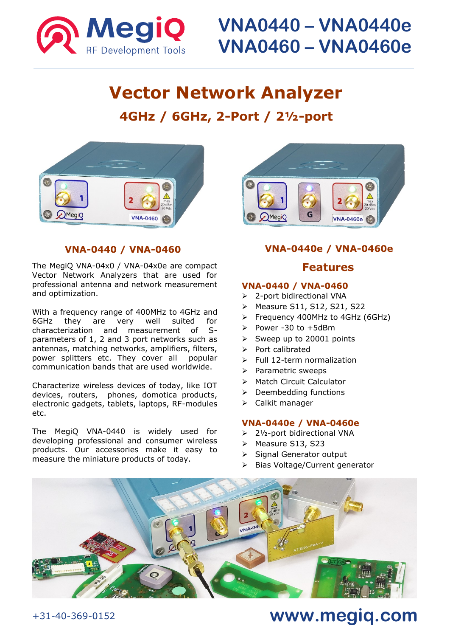

# **Vector Network Analyzer 4GHz / 6GHz, 2-Port / 2½-port**



### **VNA-0440 / VNA-0460**

The MegiQ VNA-04x0 / VNA-04x0e are compact Vector Network Analyzers that are used for professional antenna and network measurement and optimization.

With a frequency range of 400MHz to 4GHz and 6GHz they are very well suited for characterization and measurement of Sparameters of 1, 2 and 3 port networks such as antennas, matching networks, amplifiers, filters, power splitters etc. They cover all popular communication bands that are used worldwide.

Characterize wireless devices of today, like IOT devices, routers, phones, domotica products, electronic gadgets, tablets, laptops, RF-modules etc.

The MegiQ VNA-0440 is widely used for developing professional and consumer wireless products. Our accessories make it easy to measure the miniature products of today.



### **VNA-0440e / VNA-0460e**

### **Features**

#### **VNA-0440 / VNA-0460**

- ➢ 2-port bidirectional VNA
- ➢ Measure S11, S12, S21, S22
- ➢ Frequency 400MHz to 4GHz (6GHz)
- $\geq$  Power -30 to +5dBm
- ➢ Sweep up to 20001 points
- ➢ Port calibrated
- ➢ Full 12-term normalization
- ➢ Parametric sweeps
- ➢ Match Circuit Calculator
- ➢ Deembedding functions
- ➢ Calkit manager

#### **VNA-0440e / VNA-0460e**

- ➢ 2½-port bidirectional VNA
- ➢ Measure S13, S23
- ➢ Signal Generator output
- ➢ Bias Voltage/Current generator



## **www.megiq.com**

### +31-40-369-0152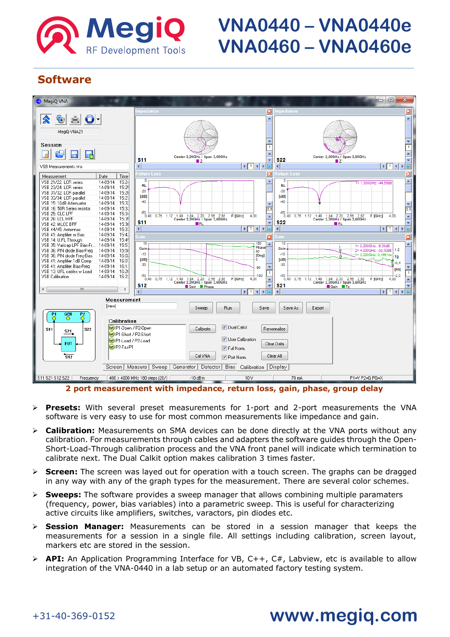

## **Software**



**2 port measurement with impedance, return loss, gain, phase, group delay**

- ➢ **Presets:** With several preset measurements for 1-port and 2-port measurements the VNA software is very easy to use for most common measurements like impedance and gain.
- ➢ **Calibration:** Measurements on SMA devices can be done directly at the VNA ports without any calibration. For measurements through cables and adapters the software guides through the Open-Short-Load-Through calibration process and the VNA front panel will indicate which termination to calibrate next. The Dual Calkit option makes calibration 3 times faster.
- ➢ **Screen:** The screen was layed out for operation with a touch screen. The graphs can be dragged in any way with any of the graph types for the measurement. There are several color schemes.
- ➢ **Sweeps:** The software provides a sweep manager that allows combining multiple paramaters (frequency, power, bias variables) into a parametric sweep. This is useful for characterizing active circuits like amplifiers, switches, varactors, pin diodes etc.
- ➢ **Session Manager:** Measurements can be stored in a session manager that keeps the measurements for a session in a single file. All settings including calibration, screen layout, markers etc are stored in the session.
- ➢ **API:** An Application Programming Interface for VB, C++, C#, Labview, etc is available to allow integration of the VNA-0440 in a lab setup or an automated factory testing system.

### +31-40-369-0152

## **www.megiq.com**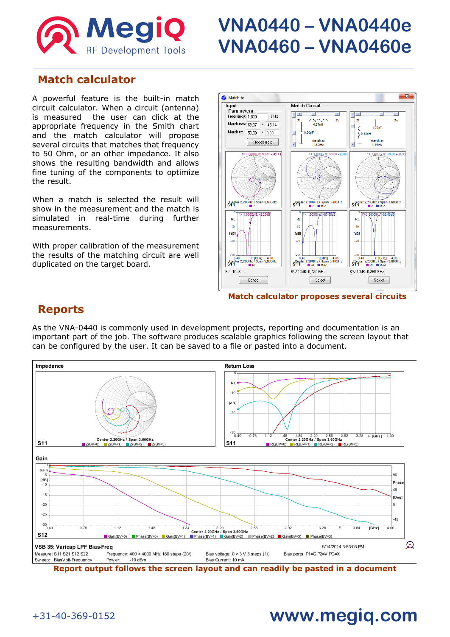

### **Match calculator**

A powerful feature is the built-in match circuit calculator. When a circuit (antenna) is measured the user can click at the appropriate frequency in the Smith chart and the match calculator will propose several circuits that matches that frequency to 50 Ohm, or an other impedance. It also shows the resulting bandwidth and allows fine tuning of the components to optimize the result.

When a match is selected the result will show in the measurement and the match is simulated in real-time during further measurements.

With proper calibration of the measurement the results of the matching circuit are well duplicated on the target board.



**Match calculator proposes several circuits**

### **Reports**

As the VNA-0440 is commonly used in development projects, reporting and documentation is an important part of the job. The software produces scalable graphics following the screen layout that can be configured by the user. It can be saved to a file or pasted into a document.



**Report output follows the screen layout and can readily be pasted in a document**

### +31-40-369-0152

# **www.megiq.com**